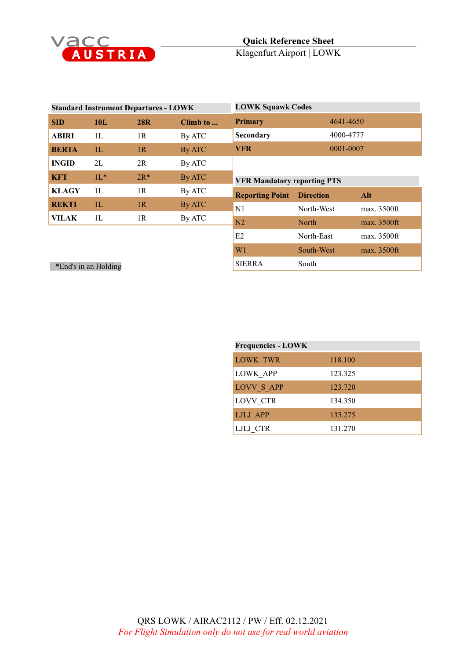

| <b>Standard Instrument Departures - LOWK</b> |            |            |          | <b>LOWK Squawk Codes</b>           |                  |             |
|----------------------------------------------|------------|------------|----------|------------------------------------|------------------|-------------|
| <b>SID</b>                                   | <b>10L</b> | <b>28R</b> | Climb to | <b>Primary</b>                     | 4641-4650        |             |
| <b>ABIRI</b>                                 | 1L         | 1R         | By ATC   | Secondary                          | 4000-4777        |             |
| <b>BERTA</b>                                 | 1L         | 1R         | By ATC   | <b>VFR</b>                         | 0001-0007        |             |
| <b>INGID</b>                                 | 2L         | 2R         | By ATC   |                                    |                  |             |
| <b>KFT</b>                                   | $11*$      | $2R*$      | By ATC   | <b>VFR Mandatory reporting PTS</b> |                  |             |
| <b>KLAGY</b>                                 | 1L         | 1R         | By ATC   | <b>Reporting Point</b>             | <b>Direction</b> | Alt         |
| <b>REKTI</b>                                 | 1L         | 1R         | By ATC   | N1                                 | North-West       | max. 3500ft |
| VILAK                                        | 1L         | 1R         | By ATC   | N2                                 | North            | max. 3500ft |
|                                              |            |            |          | E2                                 | North-East       | max. 3500ft |
|                                              |            |            |          | W1                                 | South-West       | max. 3500ft |
| *End's in an Holding                         |            |            |          | <b>SIERRA</b>                      | South            |             |

| <b>Frequencies - LOWK</b> |         |  |
|---------------------------|---------|--|
| LOWK TWR                  | 118.100 |  |
| LOWK APP                  | 123.325 |  |
| <b>LOVV S APP</b>         | 123.720 |  |
| LOVV CTR                  | 134.350 |  |
| LJLJ APP                  | 135.275 |  |
| LJLJ CTR                  | 131.270 |  |